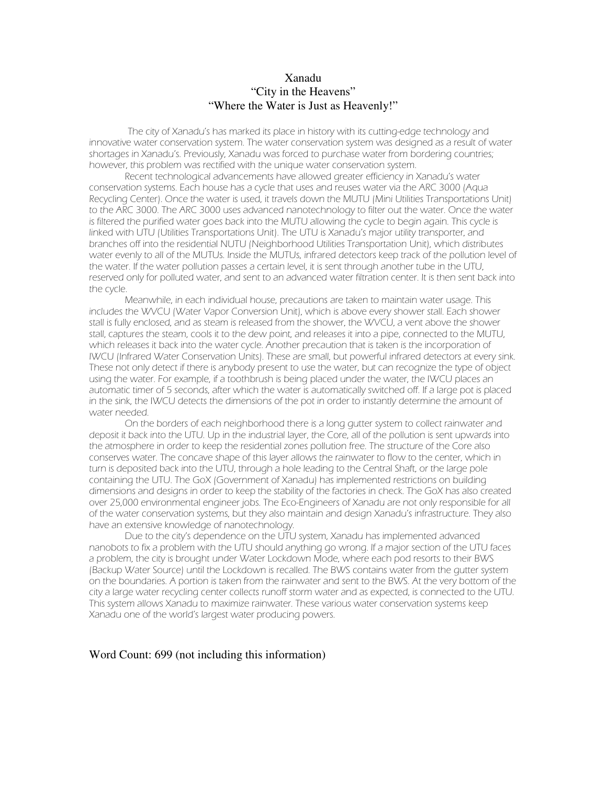## Xanadu "City in the Heavens" "Where the Water is Just as Heavenly!"

The city of Xanadu's has marked its place in history with its cutting-edge technology and innovative water conservation system. The water conservation system was designed as a result of water shortages in Xanadu's. Previously, Xanadu was forced to purchase water from bordering countries; however, this problem was rectified with the unique water conservation system.

Recent technological advancements have allowed greater efficiency in Xanadu's water conservation systems. Each house has a cycle that uses and reuses water via the ARC 3000 (Aqua Recycling Center). Once the water is used, it travels down the MUTU (Mini Utilities Transportations Unit) to the ARC 3000. The ARC 3000 uses advanced nanotechnology to filter out the water. Once the water is filtered the purified water goes back into the MUTU allowing the cycle to begin again. This cycle is linked with UTU (Utilities Transportations Unit). The UTU is Xanadu's major utility transporter, and branches off into the residential NUTU (Neighborhood Utilities Transportation Unit), which distributes water evenly to all of the MUTUs. Inside the MUTUs, infrared detectors keep track of the pollution level of the water. If the water pollution passes a certain level, it is sent through another tube in the UTU, reserved only for polluted water, and sent to an advanced water filtration center. It is then sent back into the cycle.

Meanwhile, in each individual house, precautions are taken to maintain water usage. This includes the WVCU (Water Vapor Conversion Unit), which is above every shower stall. Each shower stall is fully enclosed, and as steam is released from the shower, the WVCU, a vent above the shower stall, captures the steam, cools it to the dew point, and releases it into a pipe, connected to the MUTU, which releases it back into the water cycle. Another precaution that is taken is the incorporation of IWCU (Infrared Water Conservation Units). These are small, but powerful infrared detectors at every sink. These not only detect if there is anybody present to use the water, but can recognize the type of object using the water. For example, if a toothbrush is being placed under the water, the IWCU places an automatic timer of 5 seconds, after which the water is automatically switched off. If a large pot is placed in the sink, the IWCU detects the dimensions of the pot in order to instantly determine the amount of water needed.

On the borders of each neighborhood there is a long gutter system to collect rainwater and deposit it back into the UTU. Up in the industrial layer, the Core, all of the pollution is sent upwards into the atmosphere in order to keep the residential zones pollution free. The structure of the Core also conserves water. The concave shape of this layer allows the rainwater to flow to the center, which in turn is deposited back into the UTU, through a hole leading to the Central Shaft, or the large pole containing the UTU. The GoX (Government of Xanadu) has implemented restrictions on building dimensions and designs in order to keep the stability of the factories in check. The GoX has also created over 25,000 environmental engineer jobs. The Eco-Engineers of Xanadu are not only responsible for all of the water conservation systems, but they also maintain and design Xanadu's infrastructure. They also have an extensive knowledge of nanotechnology.

Due to the city's dependence on the UTU system, Xanadu has implemented advanced nanobots to fix a problem with the UTU should anything go wrong. If a major section of the UTU faces a problem, the city is brought under Water Lockdown Mode, where each pod resorts to their BWS (Backup Water Source) until the Lockdown is recalled. The BWS contains water from the gutter system on the boundaries. A portion is taken from the rainwater and sent to the BWS. At the very bottom of the city a large water recycling center collects runoff storm water and as expected, is connected to the UTU. This system allows Xanadu to maximize rainwater. These various water conservation systems keep Xanadu one of the world's largest water producing powers.

#### Word Count: 699 (not including this information)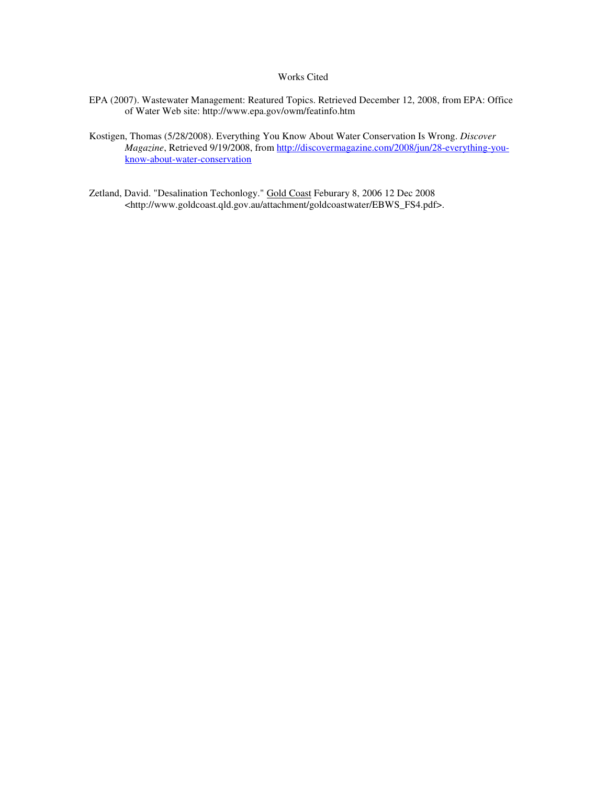#### Works Cited

- EPA (2007). Wastewater Management: Reatured Topics. Retrieved December 12, 2008, from EPA: Office of Water Web site: http://www.epa.gov/owm/featinfo.htm
- Kostigen, Thomas (5/28/2008). Everything You Know About Water Conservation Is Wrong. *Discover Magazine*, Retrieved 9/19/2008, from http://discovermagazine.com/2008/jun/28-everything-youknow-about-water-conservation
- Zetland, David. "Desalination Techonlogy." Gold Coast Feburary 8, 2006 12 Dec 2008 <http://www.goldcoast.qld.gov.au/attachment/goldcoastwater/EBWS\_FS4.pdf>.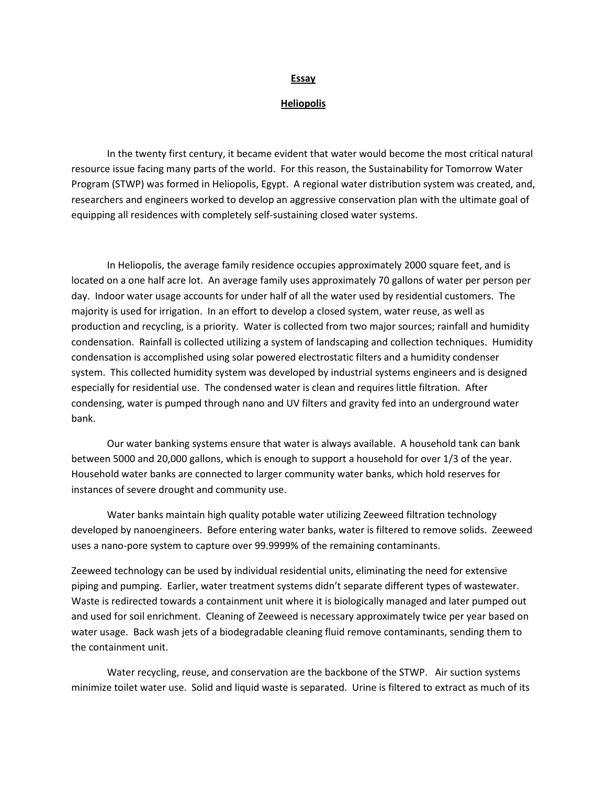#### Essay

#### **Heliopolis**

 In the twenty first century, it became evident that water would become the most critical natural resource issue facing many parts of the world. For this reason, the Sustainability for Tomorrow Water Program (STWP) was formed in Heliopolis, Egypt. A regional water distribution system was created, and, researchers and engineers worked to develop an aggressive conservation plan with the ultimate goal of equipping all residences with completely self-sustaining closed water systems.

 In Heliopolis, the average family residence occupies approximately 2000 square feet, and is located on a one half acre lot. An average family uses approximately 70 gallons of water per person per day. Indoor water usage accounts for under half of all the water used by residential customers. The majority is used for irrigation. In an effort to develop a closed system, water reuse, as well as production and recycling, is a priority. Water is collected from two major sources; rainfall and humidity condensation. Rainfall is collected utilizing a system of landscaping and collection techniques. Humidity condensation is accomplished using solar powered electrostatic filters and a humidity condenser system. This collected humidity system was developed by industrial systems engineers and is designed especially for residential use. The condensed water is clean and requires little filtration. After condensing, water is pumped through nano and UV filters and gravity fed into an underground water bank.

 Our water banking systems ensure that water is always available. A household tank can bank between 5000 and 20,000 gallons, which is enough to support a household for over 1/3 of the year. Household water banks are connected to larger community water banks, which hold reserves for instances of severe drought and community use.

 Water banks maintain high quality potable water utilizing Zeeweed filtration technology developed by nanoengineers. Before entering water banks, water is filtered to remove solids. Zeeweed uses a nano-pore system to capture over 99.9999% of the remaining contaminants.

Zeeweed technology can be used by individual residential units, eliminating the need for extensive piping and pumping. Earlier, water treatment systems didn't separate different types of wastewater. Waste is redirected towards a containment unit where it is biologically managed and later pumped out and used for soil enrichment. Cleaning of Zeeweed is necessary approximately twice per year based on water usage. Back wash jets of a biodegradable cleaning fluid remove contaminants, sending them to the containment unit.

 Water recycling, reuse, and conservation are the backbone of the STWP. Air suction systems minimize toilet water use. Solid and liquid waste is separated. Urine is filtered to extract as much of its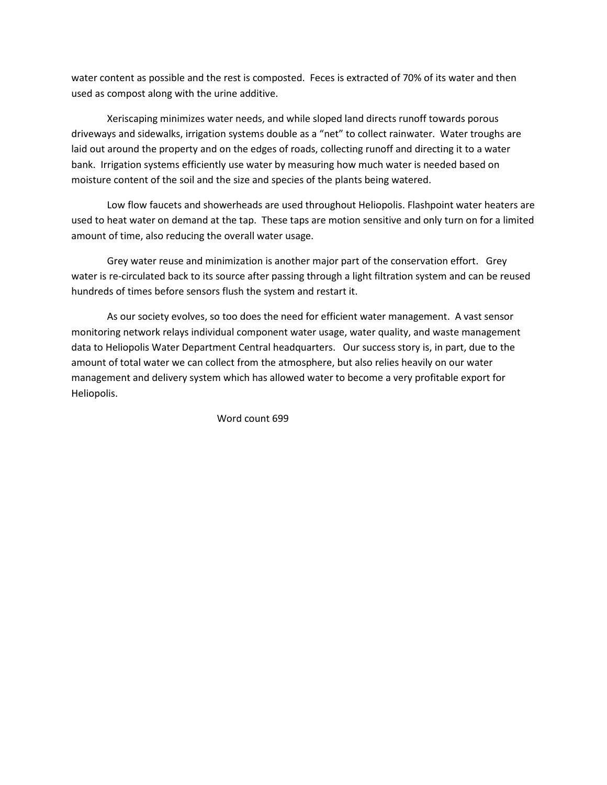water content as possible and the rest is composted. Feces is extracted of 70% of its water and then used as compost along with the urine additive.

 Xeriscaping minimizes water needs, and while sloped land directs runoff towards porous driveways and sidewalks, irrigation systems double as a "net" to collect rainwater. Water troughs are laid out around the property and on the edges of roads, collecting runoff and directing it to a water bank. Irrigation systems efficiently use water by measuring how much water is needed based on moisture content of the soil and the size and species of the plants being watered.

 Low flow faucets and showerheads are used throughout Heliopolis. Flashpoint water heaters are used to heat water on demand at the tap. These taps are motion sensitive and only turn on for a limited amount of time, also reducing the overall water usage.

 Grey water reuse and minimization is another major part of the conservation effort. Grey water is re-circulated back to its source after passing through a light filtration system and can be reused hundreds of times before sensors flush the system and restart it.

 As our society evolves, so too does the need for efficient water management. A vast sensor monitoring network relays individual component water usage, water quality, and waste management data to Heliopolis Water Department Central headquarters. Our success story is, in part, due to the amount of total water we can collect from the atmosphere, but also relies heavily on our water management and delivery system which has allowed water to become a very profitable export for Heliopolis.

Word count 699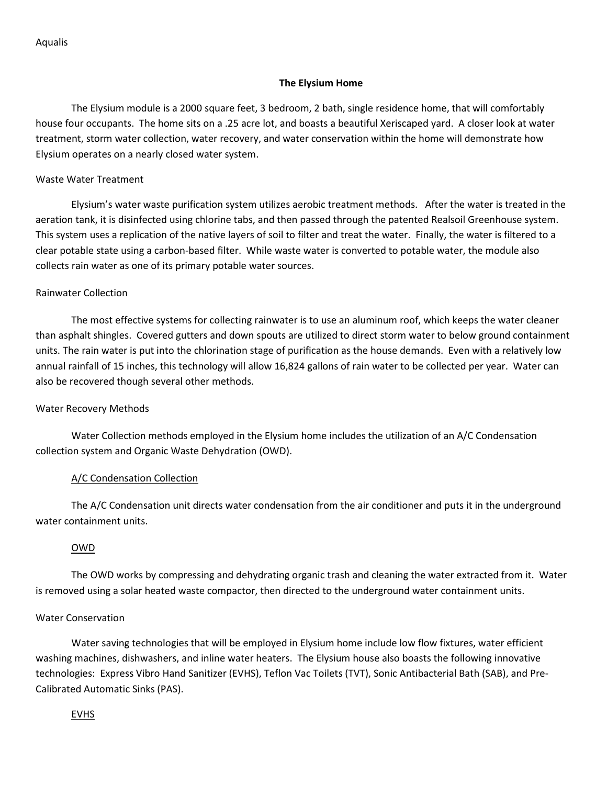Aqualis

### The Elysium Home

The Elysium module is a 2000 square feet, 3 bedroom, 2 bath, single residence home, that will comfortably house four occupants. The home sits on a .25 acre lot, and boasts a beautiful Xeriscaped yard. A closer look at water treatment, storm water collection, water recovery, and water conservation within the home will demonstrate how Elysium operates on a nearly closed water system.

### Waste Water Treatment

Elysium's water waste purification system utilizes aerobic treatment methods. After the water is treated in the aeration tank, it is disinfected using chlorine tabs, and then passed through the patented Realsoil Greenhouse system. This system uses a replication of the native layers of soil to filter and treat the water. Finally, the water is filtered to a clear potable state using a carbon-based filter. While waste water is converted to potable water, the module also collects rain water as one of its primary potable water sources.

## Rainwater Collection

The most effective systems for collecting rainwater is to use an aluminum roof, which keeps the water cleaner than asphalt shingles. Covered gutters and down spouts are utilized to direct storm water to below ground containment units. The rain water is put into the chlorination stage of purification as the house demands. Even with a relatively low annual rainfall of 15 inches, this technology will allow 16,824 gallons of rain water to be collected per year. Water can also be recovered though several other methods.

### Water Recovery Methods

Water Collection methods employed in the Elysium home includes the utilization of an A/C Condensation collection system and Organic Waste Dehydration (OWD).

# A/C Condensation Collection

The A/C Condensation unit directs water condensation from the air conditioner and puts it in the underground water containment units.

# OWD

The OWD works by compressing and dehydrating organic trash and cleaning the water extracted from it. Water is removed using a solar heated waste compactor, then directed to the underground water containment units.

### Water Conservation

Water saving technologies that will be employed in Elysium home include low flow fixtures, water efficient washing machines, dishwashers, and inline water heaters. The Elysium house also boasts the following innovative technologies: Express Vibro Hand Sanitizer (EVHS), Teflon Vac Toilets (TVT), Sonic Antibacterial Bath (SAB), and Pre-Calibrated Automatic Sinks (PAS).

EVHS